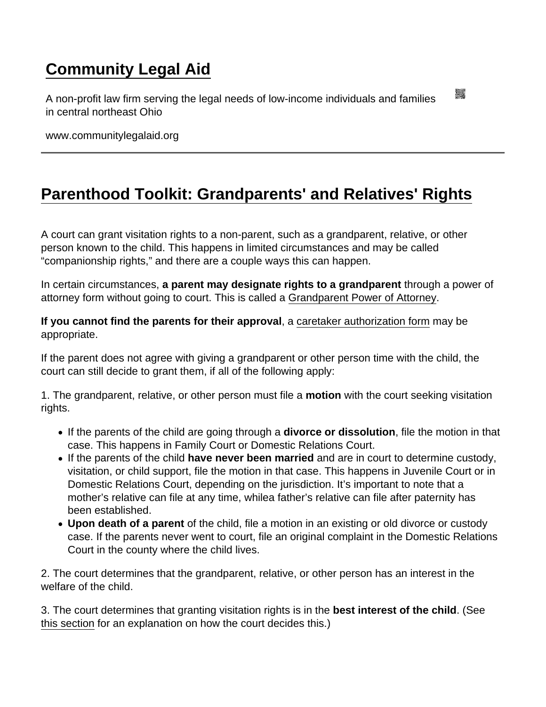## [Community Legal Aid](https://www.communitylegalaid.org/)

A non-profit law firm serving the legal needs of low-income individuals and families in central northeast Ohio

www.communitylegalaid.org

## [Parenthood Toolkit: Grandparents' and Relatives' Rights](https://www.communitylegalaid.org/parenthood/toolkit/grandparents)

A court can grant visitation rights to a non-parent, such as a grandparent, relative, or other person known to the child. This happens in limited circumstances and may be called "companionship rights," and there are a couple ways this can happen.

In certain circumstances, a parent may designate rights to a grandparent through a power of attorney form without going to court. This is called a [Grandparent Power of Attorney.](https://www.ohiolegalhelp.org/letters-forms/grandparent-power-attorney)

If you cannot find the parents for their approval, a [caretaker authorization form](https://www.ohiolegalhelp.org/letters-forms/caretaker-affidavit) may be appropriate.

If the parent does not agree with giving a grandparent or other person time with the child, the court can still decide to grant them, if all of the following apply:

1. The grandparent, relative, or other person must file a motion with the court seeking visitation rights.

- If the parents of the child are going through a divorce or dissolution, file the motion in that case. This happens in Family Court or Domestic Relations Court.
- If the parents of the child have never been married and are in court to determine custody, visitation, or child support, file the motion in that case. This happens in Juvenile Court or in Domestic Relations Court, depending on the jurisdiction. It's important to note that a mother's relative can file at any time, whilea father's relative can file after paternity has been established.
- Upon death of a parent of the child, file a motion in an existing or old divorce or custody case. If the parents never went to court, file an original complaint in the Domestic Relations Court in the county where the child lives.

2. The court determines that the grandparent, relative, or other person has an interest in the welfare of the child.

3. The court determines that granting visitation rights is in the best interest of the child . (See [this section](http://www.communitylegalaid.org/parenthood/toolkit/custody) for an explanation on how the court decides this.)